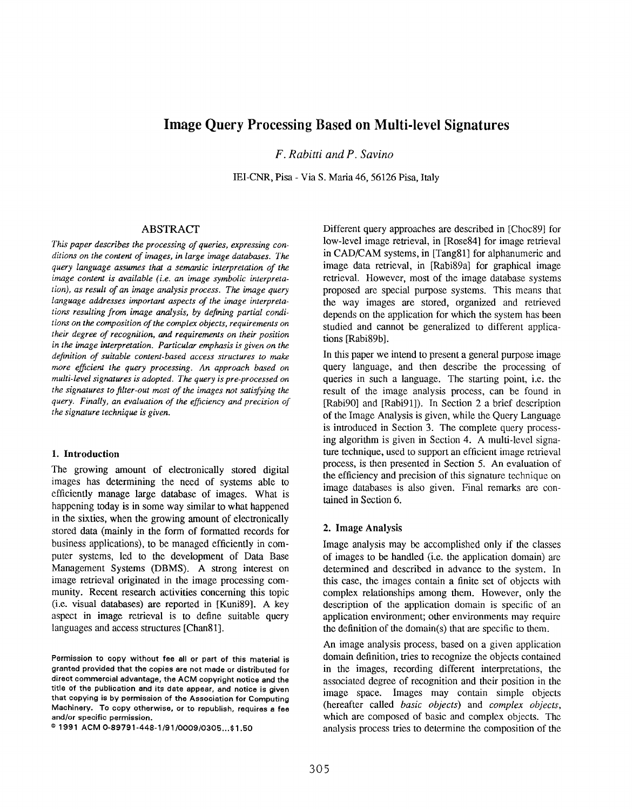# Image Query Processing Based on Multi-1evel Signatures

F. Rabitti and P. Savino

IEI-CNR, Piss - Via S. Maria 46,56126 Piss, Italy

#### ABSTRACT

This paper describes the processing of queries, expressing conditions on the content of images, in large image databases. The query language assumes that a semantic interpretation of the image content is available (i.e. an image symbolic interpretation), as result of an image analysis process. The image query language addresses important aspects of the image interpretations resulting from image analysis, by defining partial conditions on the composition of the complex objects, requirements on their degree of recognition, and requirements on their position in the image interpretation. Particular emphasis is given on the definition of suitable content-based access structures to make more efficient the query processing. An approach based on multi-level signatures is adopted. The query is pre-processed on the signatures to filter-out most of the images not satisfying the query. Finally, an evaluation of the efficiency and precision of the signature technique is given.

#### 1. Introduction

The growing amount of electronically stored digital images has determining the need of systems able to efficiently manage large database of images. What is happening today is in some way similar to what happened in the sixties, when the growing amount of electronically stored data (mainly in the form of formatted records for business applications), to be managed efficiently in computer systems, led to the development of Data Base Management Systems (DBMS). A strong interest on image retrieval originated in the image processing community. Recent research activities concerning this topic (i.e. visual databases) are reported in [Kuni89]. A key aspect in image retrieval is to define suitable query languages and access structures [Chan81].

Different query approaches are described in [Choc89] for low-level image retrieval, in [Rose84] for image retrieval in CAD/CAM systems, in [Tang81] for alphanumeric and image data retrieval, in [Rabi89a] for graphical image retrieval. However, most of the image database systems proposed are special purpose systems. This means that the way images are stored, organized and retrieved depends on the application for which the system has been studied and cannot be generalized to different applications [Rabi89b].

In this paper we intend to present a general purpose image query language, and then describe the processing of queries in such a language. The starting point, i.e. the result of the image analysis process, can be found in [Rabi90] and [Rabi91]). In Section 2 a brief description of the Image Analysis is given, while the Query Language is introduced in Section 3. The complete query processing algorithm is given in Section 4. A multi-level signature technique, used to support an efficient image retrieval process, is then presented in Section 5. An evaluation of the efficiency and precision of this signature technique on image databases is also given. Final remarks are contained in Seetion 6.

#### 2. Image Analysis

Image analysis may be accomplished only if the classes of images to be handled (i.e. the application domain) are determined and described in advance to the system. In this case, the images contain a finite set of objects with complex relationships among them. However, only the description of the application domain is specific of an application environment; other environments may require the definition of the domain(s) that are specific to them.

An image analysis process, based on a given application domain definition, tries to recognize the objects contained in the images, recording different interpretations, the associated degree of recognition and their position in the image space. Images may contain simple objects (hereafter called basic objects) and complex objects, which are composed of basic and complex objects. The analysis process tries to determine the composition of the

Permission to copy without fee all or part of this material is granted provided that the copies are not made or distributed for direct commercial advantage, the ACM copyright notice and the title of tha publication and its date appear, and notice is given that copying is by permission of the Association for Computing Machinery. To copy otherwise, or to republish, requires a fee and/or specific permission.

a 1991 ACM 0-89791 -448-1 /91 /0009 /0305 . ..\$1 .50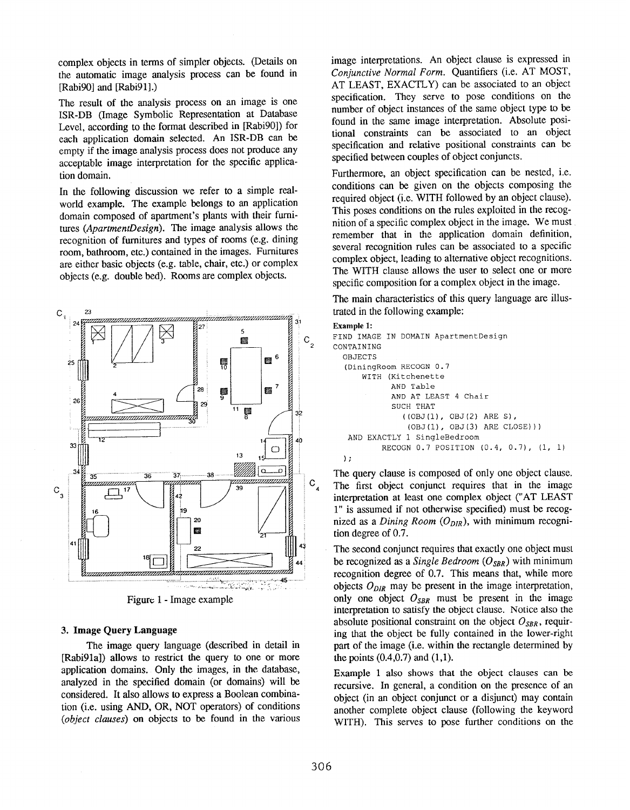complex objects in terms of simpler objects. (Details on the automatic image analysis process can be found in [Rabi90] and [Rabi91].)

The result of the analysis process on an image is one ISR-DB (Image Symbolic Representation at Database Level, according to the format described in [Rabi90]) for each application domain selected. An ISR-DB can be empty if the image analysis process does not produce any acceptable image interpretation for the specific application domain,

In the following discussion we refer to a simple realworld example. The example belongs to an application domain composed of apartment's plants with their furnitures (ApartmentDesign). The image analysis allows the recognition of furnitures and types of rooms (e.g. dining room, bathroom, etc.) contained in the images. Furnitures are either basic objects (e.g. table, chair, etc.) or complex objects (e.g. double bed). Rooms are complex objects.



Figure 1 - Image example

#### 3. Image Query Language

The image query language (described in detail in [Rabi91a]) allows to restrict the query to one or more application domains. Only the images, in the database, analyzed in the specified domain (or domains) will be considered. It also allows to express a Boolean combination (i.e. using AND, OR, NOT operators) of conditions (object clauses) on objects to be found in the various

image interpretations. An object clause is expressed in Conjunctive Normal Form. Quantifiers (i.e. AT MOST, AT LEAST, EXACTLY) can be associated to an object specification. They serve to pose conditions on the number of object instances of the same object type to be found in the same image interpretation. Absolute positional constraints can be associated to an object specification and relative positional constraints can be specified between couples of object conjuncts.

Furthermore, an object specification can be nested, i.e. conditions can be given on the objects composing the required object (i.e. WITH followed by an object clause). This poses conditions on the rules exploited in the recognition of a specific complex object in the image. We must remember that in the application domain definition, several recognition rules can be associated to a specific complex object, leading to alternative object recognitions. The WITH clause allows the user to select one or more specific composition for a complex object in the image.

The main characteristics of this query language are illustrated in the following example:

#### Example 1:

```
FIND IMAGE IN DOMAIN ApartmentDesign
CONTAINING
  OBJECTS
  (DiningRoom RECOGN O. 7
      WITH (Kitchenette
            AND Table
            AND AT LEAST 4 Chair
            SUCH THAT
               (( OBJ(l), 0BJ(2) ARE S),
                (OBJ(l), 0BJ(3) ARE CLOSE)))
   AND EXACTLY 1 SingleBedroom
          RECOGN 0.7 POSITION (0.4, 0.7), (1, 1)
  );
```
The query clause is composed of only one object clause. The first object conjunct requires that in the image interpretation at least one complex object ("AT LEAST 1" is assumed if not otherwise specified) must be recognized as a Dining Room  $(O_{DIR})$ , with minimum recognition degree of 0.7.

The second conjunct requires that exactly one object must be recognized as a Single Bedroom  $(O_{SBR})$  with minimum recognition degree of 0.7. This means that, while more objects  $O_{DIR}$  may be present in the image interpretation, only one object  $O_{SBR}$  must be present in the image interpretation to satisfy the object clause. Notice also the absolute positional constraint on the object  $O_{SBR}$ , requiring that the object be fully contained in the lower-right part of the image (i.e. within the rectangle determined by the points  $(0.4, 0.7)$  and  $(1, 1)$ .

Example 1 also shows that the object clauses can be recursive. In general, a condition on the presence of an object (in an object conjunct or a disjunct) may contain another complete object clause (following the keyword WITH). This serves to pose further conditions on the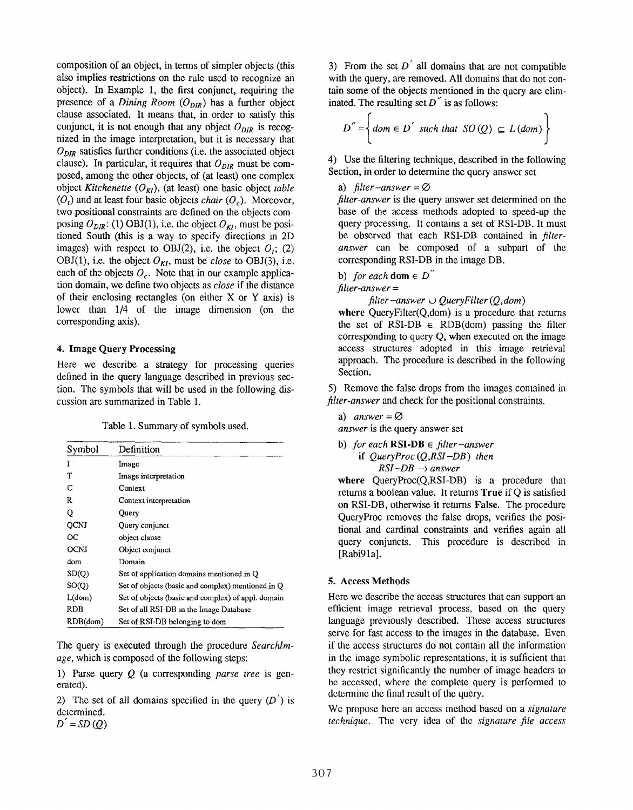composition of an object, in terms of simpler objects (this also implies restrictions on the rule used to reeognize an object). In Example 1, the first conjunct, requiring the presence of a Dining Room  $(O_{DIR})$  has a further object clause associated. It means that, in order to satisfy this conjunct, it is not enough that any object  $O_{DIR}$  is recognized in the image interpretation, but it is necessary that  $O_{DIR}$  satisfies further conditions (i.e. the associated object clause). In particular, it requires that  $O_{DIR}$  must be composed, among the other objects, of (at least) one complex object Kitchenette  $(O_{KI})$ , (at least) one basic object table  $(O_t)$  and at least four basic objects *chair*  $(O_c)$ . Moreover, two positional constraints are defined on the objects composing  $O_{DIR}$ : (1) OBJ(1), i.e. the object  $O_{KI}$ , must be positioned South (this is a way to specify directions in 2D images) with respect to OBJ(2), i.e. the object  $O_i$ ; (2) OBJ(1), i.e. the object  $O_{\mathcal{K}l}$ , must be *close* to OBJ(3), i.e. each of the objects  $O<sub>c</sub>$ . Note that in our example application domain, we define two objects as close if the distance of their enclosing rectangles (on either X or Y axis) is lower than 1/4 of the image dimension (on the corresponding axis).

#### 4. Image Query Processing

Here we describe a strategy for processing queries defined in the query language described in previous section. The symbols that will be used in the following discussion are summarized in Table 1.

Table 1. Summary of symbols used.

| Symbol   | Definition                                         |
|----------|----------------------------------------------------|
| Т        | Image                                              |
| T        | Image interpretation                               |
| С        | Context                                            |
| R        | Context interpretation                             |
| Q        | Query                                              |
| QCNJ     | Query conjunct                                     |
| OС       | object clause                                      |
| OCNJ     | Object conjunct                                    |
| dom      | Domain                                             |
| SD(Q)    | Set of application domains mentioned in Q          |
| SO(0)    | Set of objects (basic and complex) mentioned in Q  |
| L(dom)   | Set of objects (basic and complex) of appl. domain |
| RDB      | Set of all RSI-DB in the Image Database            |
| RDB(dom) | Set of RSI-DB belonging to dom                     |

The query is executed through the procedure Searchlmage, which is composed of the following steps:

1) Parse query  $Q$  (a corresponding parse tree is generated).

2) The set of all domains specified in the query  $(D')$  is determined.

 $D^{'}$  = SD(Q)

3) From the set  $D'$  all domains that are not compatible with the query, are removed. All domains that do not contain some of the objects mentioned in the query are eliminated. The resulting set  $D^{\prime\prime}$  is as follows:

$$
D'' = \left\{ \text{dom} \in D' \text{ such that } SO(Q) \subseteq L(\text{dom}) \right\}
$$

4) Use the filtering technique, described in the following Section, in order to determine the query answer set

#### a) filter – answer =  $\varnothing$

filter-answer is the query answer set determined on the base of the access methods adopted to speed-up the query processing. It contains a set of RSI-DB. It must be observed that each RSI-DB contained in filteranswer can be composed of a subpart of the corresponding RSI-DB in the image DB.

b) for each dom  $\in D''$ 

 $filter-answer =$ 

filter-answer  $\cup$  QueryFilter (Q, dom)

where  $QueryFilter(Q, dom)$  is a procedure that returns the set of RSI-DB  $\in$  RDB(dom) passing the filter corresponding to query Q, when executed on the image access structures adopted in this image retrieval approach. The procedure is described in the following Section.

5) Remove the false drops from the images contained in filter-answer and check for the positional constraints.

a) answer =  $\varnothing$ answer is the query answer set

b) for each RSI-DB  $\in$  filter-answer if  $QueryProc (O, RSI - DB)$  then  $RSI$ -DB  $\rightarrow$  answer

where  $QueryProc(Q,RSI-DB)$  is a procedure that returns a boolean value. It returns True if Q is satisfied on RSI-DB, otherwise it returns False. The procedure QueryProc removes the false drops, verifies the positional and cardinal constraints and verifies again all query conjuncts. This procedure is described in [Rabi91a].

#### 5. Access Methods

Here we describe the access structures that can support an efficient image retrieval process, based on the query language previously described. These access structures serve for fast access to the images in the database. Even if the access structures do not contain all the information in the image symbolic representations, it is sufficient that they restrict significantly the number of image headers to bc accessed, where the complete query is performed to dctcrminc the final result of the query.

We propose here an access method based on a *signature* technique. The very idea of the signature file access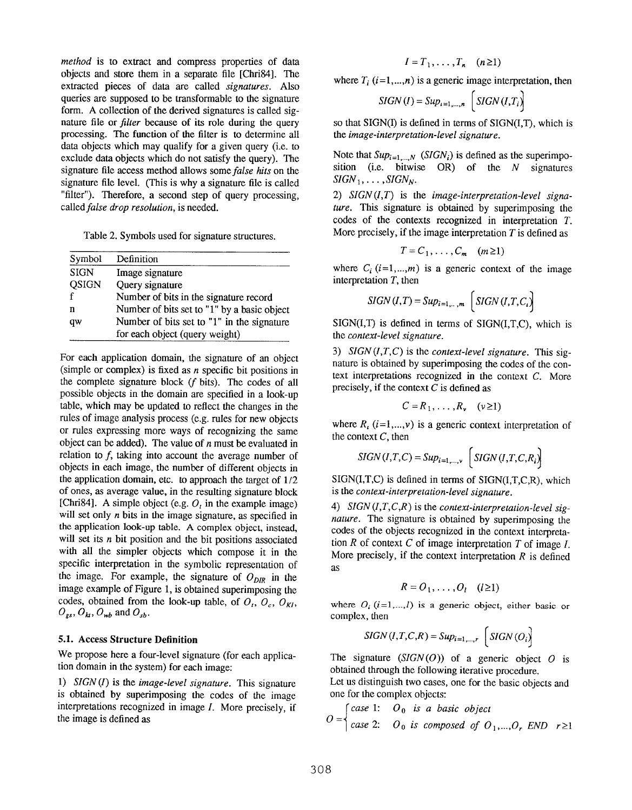method is to extract and compress properties of data objects and store them in a separate file [Chri84]. The extracted pieces of data are called signatures. Also queries are supposed to be transformable to the signature form. A collection of the derived signatures is called signature file or *filter* because of its role during the query processing. The function of the filter is to determine all data objects which may qualify for a given query (i.e. to exclude data objects which do not satisfy the query). The signature file access method allows some *false hits* on the signature file level. (This is why a signature file is called "filter"). Therefore, a second step of query processing, called false drop resolution, is needed.

Table 2. Symbols used for signature structures.

| Symbol       | Definition                                  |
|--------------|---------------------------------------------|
| <b>SIGN</b>  | Image signature                             |
| <b>QSIGN</b> | Query signature                             |
|              | Number of bits in the signature record      |
| n            | Number of bits set to "1" by a basic object |
| qw           | Number of bits set to "1" in the signature  |
|              | for each object (query weight)              |

For each application domain, the signature of an object (simple or complex) is fixed as  $n$  specific bit positions in the complete signature block (f bits). The codes of all possible objects in the domain are specified in a look-up table, which may be updated to reflect the changes in the rules of image analysis process (e.g. rules for new objects or rules expressing more ways of recognizing the same object can be added). The value of  $n$  must be evaluated in relation to  $f$ , taking into account the average number of objects in each image, the number of different objects in the application domain, etc. to approach the target of  $1/2$ of ones, as average value, in the resulting signature block [Chri84]. A simple object (e.g.  $O_t$  in the example image) will set only  $n$  bits in the image signature, as specified in the application look-up table. A complex object, instead, will set its  $n$  bit position and the bit positions associated with all the simpler objects which compose it in the specific interpretation in the symbolic representation of the image. For example, the signature of  $O_{DIR}$  in the image example of Figure 1, is obtained superimposing the codes, obtained from the look-up table, of  $O_t$ ,  $O_c$ ,  $O_{KL}$ ,  $O_{gs}$ ,  $O_{kt}$ ,  $O_{wb}$  and  $O_{sb}$ .

#### 5.1. Access Structure Definition

We propose here a four-level signature (for each application domain in the system) for each image

1)  $SIGN(I)$  is the *image-level signature*. This signature is obtained by superimposing the codes of the image interpretations recognized in image 1. More precisely, if the image is defined as

$$
I = T_1, \ldots, T_n \quad (n \geq 1)
$$

where  $T_i$  ( $i=1,...,n$ ) is a generic image interpretation, then

$$
SIGN(I) = Sup_{i=1,\dots,n} \left( SIGN(I,T_i)\right)
$$

so that SIGN(I) is defined in terms of SIGN(I,T), which is the image-interpretation-level signature.

Note that  $Sup_{i=1,\dots,N}$  (SIGN<sub>i</sub>) is defined as the superimposition (i.e. bitwise  $OR$ ) of the  $N$  signatures  $SIGN_1, \ldots, SIGN_N.$ 

2)  $SIGN (I,T)$  is the image-interpretation-level signature. This signature is obtained by superimposing the codes of the contexts recognized in interpretation T. More precisely, if the image interpretation  $T$  is defined as

$$
T = C_1, \ldots, C_m \quad (m \ge 1)
$$

where  $C_i$  (i=1,...,*m*) is a generic context of the image interpretation  $T$ , then

$$
SIGN (I,T) = Sup_{i=1,\dots,m} \left( SIGN (I,T,C_i) \right)
$$

 $SIGN(I,T)$  is defined in terms of  $SIGN(I,T,C)$ , which is the context-level signature.

3) SIGN (I,T,C) is the context-level signature. This signature is obtained by superimposing the codes of the context interpretations recognized in the context C. More precisely, if the context  $C$  is defined as

$$
C = R_1, \ldots, R_v \quad (v \geq 1)
$$

where  $R_i$  ( $i=1,...,v$ ) is a generic context interpretation of the context  $C$ , then

$$
SGN(I, T, C) = Sup_{i=1,\dots,\nu} \left[ SIGN(I, T, C, R_i) \right]
$$

 $SIGN(I,T,C)$  is defined in terms of  $SIGN(I,T,C,R)$ , which is the *context-interpretation-level* signature.

4)  $SIGN (I, T, C, R)$  is the context-interpretation-level signature. The signature is obtained by superimposing the codes of the objects recognized in the context interpretation  $R$  of context  $C$  of image interpretation  $T$  of image  $I$ . More precisely, if the context interpretation  $R$  is defined as

$$
R = O_1, \ldots, O_l \quad (l \geq 1)
$$

where  $O_i$  (i=1,...,l) is a generic object, either basic or complex, then

$$
SIGN(I, T, C, R) = Sup_{i=1,\dots,r} \left( SIGN(O_i) \right)
$$

The signature  $(SIGN(O))$  of a generic object O is obtained through the following iterative procedure.

Let us distinguish two cases, one for the basic objects and one for the complex objects:

$$
O = \begin{cases} case 1: & O_0 \text{ is a basic object} \\ case 2: & O_0 \text{ is composed of } O_1, \dots, O_r \text{ END } r \ge 1 \end{cases}
$$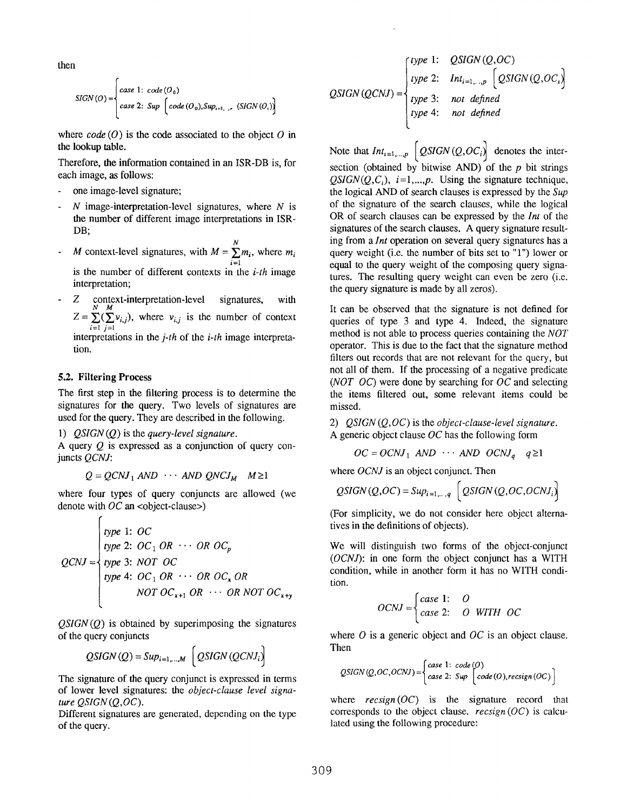then

$$
SIGN (O) = \begin{cases} case 1: code (O0) \\ case 2: Sup [code (O0), Sup1=1, r, (SIGN (Oi))] \end{cases}
$$

where  $code(0)$  is the code associated to the object O in the lookup table.

Therefore, the information contained in an ISR-DB is, for each image, as follows:

- one image-level signature;
- $N$  image-interpretation-level signatures, where  $N$  is the number of different image interpretations in ISR-DB;
- N - M context-level signatures, with  $M = \sum m_i$ , where m  $i=$ is the number of different contexts in the  $i$ -th image interpretation;
- Z context-interpretation-level signatures, with  $Z = \sum(\sum v_{i,j})$ , where  $v_{i,j}$  is the number of context

i=l j=l interpretations in the  $j$ -th of the  $i$ -th image interpretation.

#### 5.2. Filtering Process

The first step in the filtering process is to determine the signatures for the query. Two levels of signatures are used for the query. They are described in the following.

1)  $OSIGN(Q)$  is the query-level signature.

A query  $O$  is expressed as a conjunction of query conjuncts QCNJ:

$$
Q = QCNJ_1 \text{ AND } \cdots \text{ AND } QNCJ_M \quad M \ge 1
$$

where four types of query conjuncts are allowed (we denote with  $OC$  an <object-clause>)

$$
QCNJ = \begin{cases} type 1: OC \\ type 2: OC_1 OR \cdots OR OC_p \\ type 3: NOT OC \\ type 4: OC_1 OR \cdots OR OC_x OR \\ NOT OC_{x+1} OR \cdots OR NOT OC_{x+y} \end{cases}
$$

 $OSIGN(O)$  is obtained by superimposing the signatures of the query conjuncts

$$
QSGN(Q) = Sup_{i=1,\dots,M} \left(QSGN(QCNI_i)\right)
$$

The signature of the query conjunct is expressed in terms of lower level signatures: the object-clause level signature  $OSIGN(O,OC)$ .

Different signatures are generated, depending on the type of the query.

$$
QSIGN(QCNJ) = \begin{cases} type 1: & QSIGN(Q, OC) \\ type 2: & Int_{i=1,\dots,p} \ [QSIGN(Q, OC)] \\ type 3: & not defined \\ type 4: & not defined \end{cases}
$$

Note that  $Int_{i=1,...,p}$   $\left[QSIGN(Q,OC_i)\right]$  denotes the intersection (obtained by bitwise AND) of the  $p$  bit strings  $OSIGN(O, C_i), i=1,...,p$ . Using the signature technique, the logical AND of search clauses is expressed by the Sup of the signature of the search clauses, while the logical OR of search clauses can be expressed by the Int of the signatures of the search clauses. A query signature resulting from a Int operation on several query signatures has a query weight (i.e. the number of bits set to "1") lower or equal to the query weight of the composing query signatures. The resulting query weight can even be zero (i.e. the query signature is made by all zeros).

It can be observed that the signature is not defined for queries of type 3 and type 4. Indeed, the signature method is not able to process queries containing the NOT operator. This is due to the fact that the signature method filters out records that are not relevant for the query, but not all of them. If the processing of a negative predicate (NOT OC) were done by searching for OC and selecting the items filtered out, some relevant items could be missed.

2)  $QSIGN(Q,OC)$  is the *object-clause-level signature*. A generic object clause  $OC$  has the following form

$$
OC = OCNI_1
$$
 AND  $\cdots$  AND  $OCNI_a$   $q \ge 1$ 

where *OCNJ* is an object conjunct. Then

$$
QSIGN(Q,OC) = Sup_{i=1,\dots,q} \left[ QSIGN(Q,OC,OCNI_i) \right]
$$

(For simplicity, we do not consider here object alternatives in the definitions of objeets).

We will distinguish two forms of the object-conjunct (OCNJ): in one form the object conjunct has a WITH condition, while in another form it has no WITH condition.

$$
OCNJ = \begin{cases} case 1: & O \\ case 2: & O & WITH & OC \end{cases}
$$

where  $O$  is a generic object and  $OC$  is an object clause. Then

$$
QSGN(Q, OC, OCNI) = \begin{cases} case 1: & code (O) \\ case 2: & Suppose (O), >\\ \end{cases}
$$

where  $recsign(OC)$  is the signature record that corresponds to the object clause.  $recsign(OC)$  is calculated using the following procedure: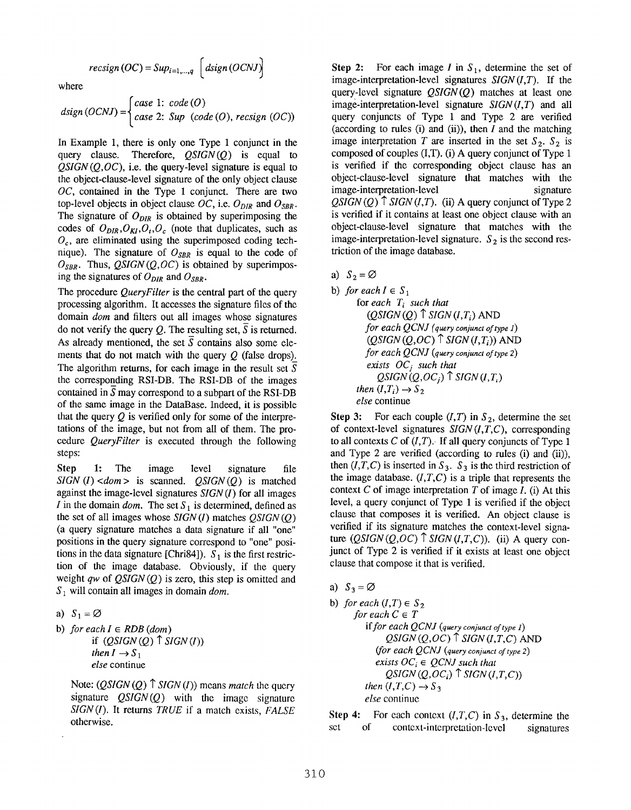$$
recsign\left(OC\right) = Sup_{i=1,\dots,q}\left[ \text{disign}\left(OCNI\right) \right]
$$

where

$$
disign (OCNJ) = \begin{cases} case 1: code (O) \\ case 2: Sup (code (O), resign (OC)) \end{cases}
$$

In Example 1, there is only one Type 1 conjunct in the query clause. Therefore,  $QSIGN(Q)$  is equal to  $OSIGN(0, OC)$ , i.e. the query-level signature is equal to the object-clause-level signature of the only object clause  $OC$ , contained in the Type 1 conjunct. There are two top-level objects in object clause OC, i.e.  $O_{DIR}$  and  $O_{SBR}$ . The signature of  $O_{DIR}$  is obtained by superimposing the codes of  $O_{DIR}, O_{KI}, O_t, O_c$  (note that duplicates, such as  $O<sub>c</sub>$ , are eliminated using the superimposed coding technique). The signature of  $O_{SBR}$  is equal to the code of  $O_{SBR}$ . Thus, QSIGN (Q,OC) is obtained by superimposing the signatures of  $O_{DIR}$  and  $O_{SBR}$ .

The procedure *QueryFilter* is the central part of the query processing algorithm. It accesses the signature files of the domain dom and filters out all images whose signatures do not verify the query Q. The resulting set,  $\overline{S}$  is returned. As already mentioned, the set  $\overline{S}$  contains also some elements that do not match with the query  $O$  (false drops). The algorithm returns, for each image in the result set  $S$ the corresponding RSI-DB. The RSI-DB of the images contained in  $S$  may correspond to a subpart of the RSI-DB of the same image in the DataBase. Indeed, it is possible that the query  $Q$  is verified only for some of the interpretations of the image, but not from all of them. The procedure QueryFilter is executed through the following steps:

Step 1: The image level signature file  $SIGN (I) < dom >$  is scanned.  $QSIGN (Q)$  is matched against the image-level signatures  $SIGN(I)$  for all images I in the domain dom. The set  $S_1$  is determined, defined as the set of all images whose  $SIGN(I)$  matches  $QSIGN(Q)$ (a query signature matches a data signature if all "one" positions in the query signature correspond to "one" positions in the data signature [Chri84]).  $S_1$  is the first restriction of the image database. Obviously, if the query weight  $qw$  of  $QSIGN(Q)$  is zero, this step is omitted and  $S_1$  will contain all images in domain *dom*.

a) 
$$
S_1 = \emptyset
$$

b) for each  $I \in RDB$  (dom) if  $(QSIGN(Q) \uparrow SIGN(I))$ then  $I\rightarrow S_1$ else continue

Note:  $(QSIGN(Q) \cap SIGN(I))$  means *match* the query signature  $\mathcal{Q}SIGN(Q)$  with the image signature  $SIGN(I)$ . It returns TRUE if a match exists, FALSE otherwise.

Step 2: For each image  $I$  in  $S_1$ , determine the set of image-interpretation-level signatures  $SIGN (I, T)$ . If the query-level signature  $\mathcal{Q}SGN(Q)$  matches at least one image-interpretation-level signature  $SIGN(I,T)$  and all query conjuncts of Type 1 and Type 2 are verified (according to rules (i) and (ii)), then  $I$  and the matching image interpretation T are inserted in the set  $S_2$ .  $S_2$  is composed of couples (I,T). (i) A query conjunct of Type 1 is verified if the corresponding object clause has an object-clause-level signature that matches with the image-interpretation-level signature QSIGN(Q)  $\uparrow$  SIGN(I,T). (ii) A query conjunct of Type 2 is verified if it contains at least one object clause with an object-clause-level signature that matches with the image-interpretation-level signature.  $S_2$  is the second restriction of the image database.

## a)  $S_2 = \emptyset$

b) for each 
$$
I \in S_1
$$
  
for each  $T_i$  such that  
 $(QSIGN(Q) \uparrow$  SIGN $(I,T_i)$  AND  
for each QCNJ (query conjunct of type I)  
 $(QSIGN(Q,OC) \uparrow$  SIGN $(I,T_i)$ ) ANI  
for each QCNJ (query conjunct of type 2)  
exists OC<sub>j</sub> such that  
QSIGN $(Q,OC_j) \uparrow$  SIGN $(I,T_i)$   
then  $(I,T_i) \rightarrow S_2$   
else continue

Step 3: For each couple  $(I, T)$  in  $S_2$ , determine the set of context-level signatures  $SIGN(I,T,C)$ , corresponding to all contexts C of  $(I, T)$ . If all query conjuncts of Type 1 and Type 2 are verified (according to rules (i) and (ii)), then  $(I, T, C)$  is inserted in  $S_3$ .  $S_3$  is the third restriction of the image database.  $(I, T, C)$  is a triple that represents the context  $C$  of image interpretation  $T$  of image  $I$ . (i) At this level, a query conjunct of Type 1 is verified if the object clause that composes it is verified. An object clause is verified if its signature matches the context-level signature  $(QSIGN(Q, OC)$   $\uparrow$  *SIGN* $(I, T, C)$ ). (ii) A query conjunct of Type 2 is verified if it exists at least one object clause that compose it that is verified.

a)  $S_3 = \emptyset$ 

b) for each 
$$
(I,T) \in S_2
$$
  
\nfor each  $C \in T$   
\nif for each  $QCNJ$  (query conjunct of type 1)  
\n $QSIGN(Q,OC) \uparrow SIGN(I,T,C)$  AND  
\n(for each  $QCNJ$  (query conjunct of type 2)  
\nexists  $OC_i \in QCNJ$  such that  
\n $QSIGN(Q,OC_i) \uparrow SIGN(I,T,C)$ )  
\nthen  $(I,T,C) \rightarrow S_3$   
\nelse continue

Step 4: For each context  $(I, T, C)$  in  $S_3$ , determine the sct of context-interpretation-level signatures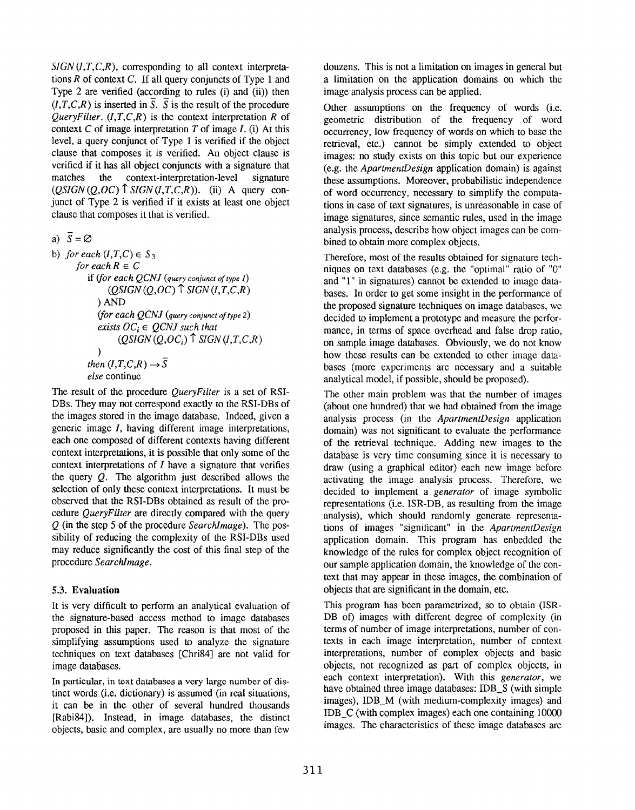$SIGN (I, T, C, R)$ , corresponding to all context interpretations  $R$  of context  $C$ . If all query conjuncts of Type 1 and Type 2 are verified (according to rules (i) and (ii)) then  $(I, T, C, R)$  is inserted in  $\overline{S}$ .  $\overline{S}$  is the result of the procedure *QueryFilter.*  $(I, T, C, R)$  is the context interpretation R of context C of image interpretation  $T$  of image  $I$ . (i) At this level, a query conjunct of Type 1 is veritied if the object clause that composes it is verified. An object clause is verified if it has all object conjuncts with a signature that matches the context-interpretation-level signature  $(QSIGN(Q, OC)$ <sup> $\uparrow$ </sup> SIGN(I,T,C,R)). (ii) A query conjunct of Type 2 is verified if it exists at least one object clause that composes it that is verified.

a)  $\overline{S} = \emptyset$ 

```
b) for each (I, T, C) \in S_3for each R \in Cif ({\text{for each } } QCNJ \text{ (query conjunct of type } I)(QSIGN(Q, OC)<sup>\uparrow</sup> SIGN(I,T,C,R)
              ) AND
              ~(for~each~QCNJ~(query~conjunct~of~type~2)exists OC_i \in OCNJ such that
                    (QSIGN(Q, OC_i) \uparrow SIGN (I, T, C, R)
              )
           then (I, T, C, R) \rightarrow \overline{S}else continue
```
The result of the procedure *OuervFilter* is a set of RSI-DBs. They may not correspond exactly to the RSI-DBS of the images stored in the image database. Indeed, given a generic image  $I$ , having different image interpretations, each one composed of different contexts having different context interpretations, it is possible that only some of the context interpretations of  $I$  have a signature that verifies the query Q. The algorithm just described allows the selection of only these context interpretations. It must be observed that the RSI-DBS obtained as result of the procedure QueryFilter are directly compared with the query  $Q$  (in the step 5 of the procedure SearchImage). The possibility of reducing the complexity of the RSI-DBS used may reduce significantly the cost of this final step of the procedure SearchImage.

### 5.3. Evaluation

It is very difficult to perform an analytical evaluation of the signature-based access method to image databases proposed in this paper. The reason is that most of the simplifying assumptions used to analyze the signature techniques on text databases [Chri84] are not valid for image databases.

In particular, in text databases a very large number of distinct words (i.e. dictionary) is assumed (in real situations, it can be in the other of several hundred thousands [Rabi84]). Instead, in image databases, the distinct objects, basic and complex, are usually no more than few

douzens. This is not a limitation on images in general but a limitation on the application domains on which the image analysis process can be applied.

Other assumptions on the frequency of words (i.e. geometric distribution of the frequency of word occurrence, low frequency of words on which to base the retrieval, etc.) cannot be simply extended to object images: no study exists on this topic but our experience (e.g. the ApartmentDesign application domain) is against these assumptions. Moreover, probabilistic independence of word occurrence, necessary to simplify the computations in case of text signatures, is unreasonable in case of image signatures, since semantic rules, used in the image analysis process, describe how object images can be combined to obtain more complex objects.

Therefore, most of the results obtained for signature techniques on text databases (e.g. the "optimal" ratio of "O" and "1" in signatures) cannot be extended to image databases. In order to get some insight in the performance of the proposed signature techniques on image databases, we decided to implement a prototype and measure the performance, in terms of space overhead and false drop ratio, on sample image databases. Obviously, we do not know how these results can be extended to other image databases (more experiments are necessary and a suitable analytical model, if possible, should be proposed).

The other main problem was that the number of images (about one hundred) that we had obtained from the image analysis process (in the ApartmentDesign application domain) was not significant to evaluate the performance of the retrieval technique. Adding new images to the database is very time consuming since it is necessary to draw (using a graphical editor) each new image before activating the image analysis process. Therefore, we decided to implement a generator of image symbolic representations (i.e. ISR-DB, as resulting from the image analysis), which should randomly generate representations of images "significant" in the ApartmentDesign application domain. This program has enbedded the knowledge of the rules for complex object recognition of our sample application domain, the knowledge of the context that may appear in these images, the combination of objects that are significant in the domain, etc.

This program has been parametrized, so to obtain (ISR-DB of) images with different degree of complexity (in terms of number of image interpretations, number of contexts in each image interpretation, number of context interpretations, number of complex objects and basic objects, not recognized as part of complex objects, in each context interpretation). With this *generator*, we have obtained three image databases: IDB S (with simple images), IDB\_M (with medium-complexity images) and IDB\_C (with complex images) each one containing 10000 images. The characteristics of these image databases are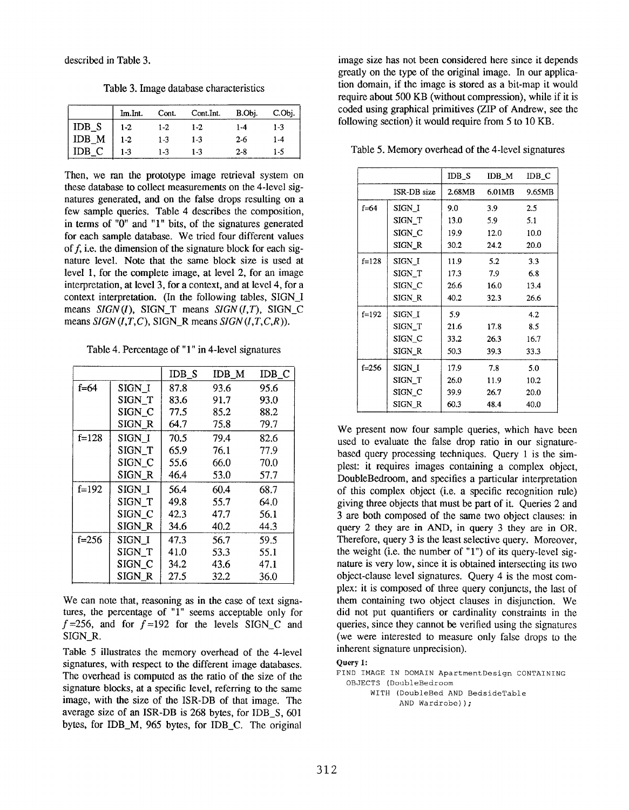Table 3. Image database characteristics

|                                                                                  | Im.Int. | Cont. | Cont.Int. | B.Obj.  | C.Obj.  |
|----------------------------------------------------------------------------------|---------|-------|-----------|---------|---------|
|                                                                                  | 1-2     | 1-2   | 1-2       | 1-4     | $1 - 3$ |
| $\begin{array}{c}\n\text{IDB\_S} \\ \text{IDB\_M} \\ \text{IDB\_C}\n\end{array}$ | $1-2$   | $1-3$ | $1-3$     | $2 - 6$ | 1-4     |
|                                                                                  | $1-3$   | 1.3   | 1-3       | $2 - 8$ | 1.5     |

Then, we ran the prototype image retrieval system on these database to collect measurements on the 4-Ievel signatures generated, and on the false drops resulting on a few sample queries. Table 4 describes the composition, in terms of "0" and "1" bits, of the signatures generated for each sample database. We tried four different values of  $f$ , i.e. the dimension of the signature block for each signature level. Note that the same block size is used at level 1, for the complete image, at level 2, for an image interpretation, at level 3, for a context, and at level 4, for a context interpretation. (In the following tables, SIGN\_I means  $SIGN(I)$ , SIGN\_T means  $SIGN(I, T)$ , SIGN\_C means  $SIGN(I, T, C)$ , SIGN\_R means  $SIGN(I, T, C, R)$ ).

Table 4. Percentage of "1" in 4-level signatures

|           |                   | $IDB_S$ | $IDB_M$ | IDB C |
|-----------|-------------------|---------|---------|-------|
| f=64      | SIGN I            | 87.8    | 93.6    | 95.6  |
|           | SIGN_T            | 83.6    | 91.7    | 93.0  |
|           | SIGN <sub>C</sub> | 77.5    | 85.2    | 88.2  |
|           | SIGN_R            | 64.7    | 75.8    | 79.7  |
| $f = 128$ | SIGN <sub>I</sub> | 70.5    | 79.4    | 82.6  |
|           | SIGN_T            | 65.9    | 76.1    | 77.9  |
|           | SIGN_C            | 55.6    | 66.0    | 70.0  |
|           | SIGN_R            | 46.4    | 53.0    | 57.7  |
| $f=192$   | SIGN <sub>I</sub> | 56.4    | 60.4    | 68.7  |
|           | SIGN T            | 49.8    | 55.7    | 64.0  |
|           | SIGN_C            | 42.3    | 47.7    | 56.1  |
|           | SIGN_R            | 34.6    | 40.2    | 44.3  |
| $f = 256$ | SIGN I            | 47.3    | 56.7    | 59.5  |
|           | SIGN T            | 41.0    | 53.3    | 55.1  |
|           | SIGN C            | 34.2    | 43.6    | 47.1  |
|           | SIGN R            | 27.5    | 32.2    | 36.0  |

We can note that, reasoning as in the case of text signatures, the percentage of  $"1"$  seems acceptable only for  $f = 256$ , and for  $f = 192$  for the levels SIGN C and SIGN\_R.

Table 5 illustrates the memory overhead of the 4-level signatures, with respect to the different image databases. The overhead is computed as the ratio of the size of the signature blocks, at a specific level, referring to the same image, with the size of the ISR-DB of that image. The average size of an ISR-DB is 268 bytes, for IDB\_S, 601 bytes, for IDB\_M, 965 bytes, for IDB\_C. The original

image size has not been considered here since it depends greatly on the type of the original image. In our application domain, if the image is stored as a bit-map it would require about 500 KB (without compression), while if it is coded using graphical primitives (ZIP of Andrew, see the following section) it would require from 5 to 10 KB.

Table 5. Memory overhead of the 4-level signatures

|           |                   | IDB_S | $IDB_M$ | IDB_C  |
|-----------|-------------------|-------|---------|--------|
|           | ISR-DB size       |       | 6.01MB  | 9.65MB |
| $f = 64$  | SIGN I            | 9.0   | 3.9     | 2.5    |
|           | SIGN T            | 13.0  | 5.9     | 5.1    |
|           | SIGN C            | 19.9  | 12.0    | 10.0   |
|           | SIGN R            | 30.2  | 24.2    | 20.0   |
| $f=128$   | SIGN <sub>I</sub> | 11.9  | 5.2     | 3.3    |
|           | SIGN T            | 17.3  | 7.9     | 6.8    |
|           | SIGN <sub>C</sub> | 26.6  | 16.0    | 13.4   |
|           | SIGN R            | 40.2  | 32.3    | 26.6   |
| $f=192$   | SIGN I            | 5.9   |         | 4.2    |
|           | SIGN T            | 21.6  | 17.8    | 8.5    |
|           | SIGN C            | 33.2  | 26.3    | 16.7   |
|           | SIGN R            | 50.3  | 39.3    | 33.3   |
| $f = 256$ | SIGN I            | 17.9  | 7.8     | 5.0    |
|           | SIGN_T            | 26.0  | 11.9    | 10.2   |
|           | SIGN <sub>C</sub> | 39.9  | 26.7    | 20.0   |
|           | SIGN R            | 60.3  | 48.4    | 40.0   |

We present now four sample queries, which have been used to evaluate the false drop ratio in our signaturebased query processing techniques. Query 1 is the simplest: it requires images containing a complex object, DoubleBedroom, and specifies a particular interpretation of this complex object (i.e. a specific recognition rule) giving three objects that must be part of it. Queries 2 and 3 are both composed of the same two object clauses: in query 2 they are in AND, in query 3 they are in OR, Therefore, query 3 is the least selective query. Moreover, the weight (i.e. the number of  $"1"$ ) of its query-level signature is very low, since it is obtained intersecting its two object-clause level signatures. Query 4 is the most complex: it is composed of three query conjuncts, the last of them containing two object clauses in disjunction. We did not put quantifiers or cardinality constraints in the queries, since they cannot be verified using the signatures (we were interested to measure only false drops to the inherent signature unprecision).

#### Query 1:

FIND IMAGE IN DOMAIN ApartmentDesign CONTAINING OBJECTS (DoubleBedroom WITH (DoubleBed AND BedsideTable AND Wardrobe) ) ;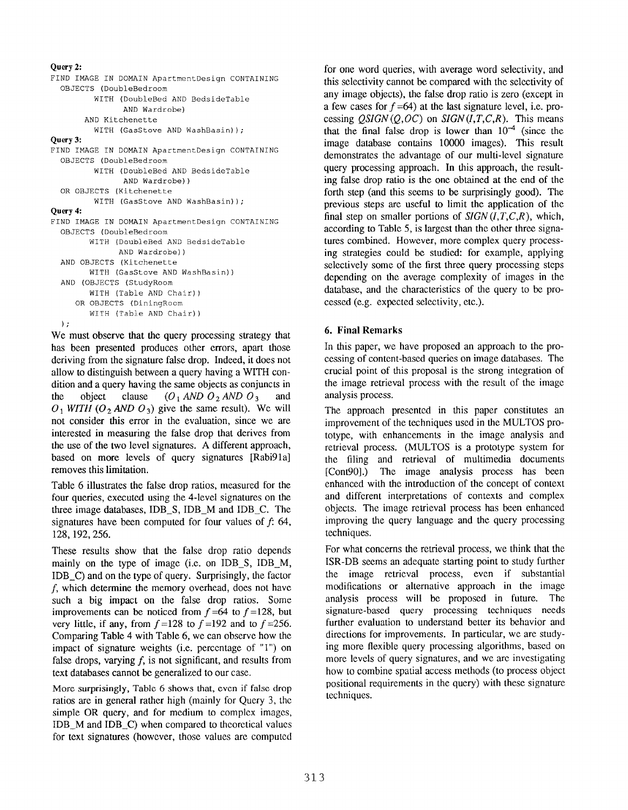```
Query 2:
FIND IMAGE IN DOMAIN ApartmentDesign CONTAINING
 OBJECTS (DoubleBedroom
         WITH (DoubleBed AND BedsideTable
               AND Wardrobe)
       AND Kitchenette
         WITH (GasStove AND WashBasin));
Query 3:
FIND IMAGE IN DOMAIN ApartmentDesign CONTAINING
 OBJECTS (DoubleBedroom
         WITH (DoubleBed AND BedsideTable
               AND Wardrobe))
  OR OBJECTS (Kitchenette
         WITH (GasStove AND WashBasin));
Query 4:
FIND IMAGE IN DOMAIN ApartmentDesign CONTAINING
  OBJECTS (DoubleBedroom
       WITH (DoubleBed AND BedsideTable
              AND Wardrobe))
  AND OBJECTS (Kitchenette
       WITH (GasStove AND WashBasin))
  AND (OBJECTS (StudyRoom
       WITH (Table AND Chair))
     OR OBJECTS (DiningRoom
        WITH (Table AND Chair))
  );
```
We must observe that the query processing strategy that has been presented produces other errors, apart those deriving from the signature false drop. Indeed, it does not allow to distinguish between aquery having a WITH condition and a query having the same objects as conjuncts in the object clause  $(O_1 \text{ AND } O_2 \text{ AND } O_3$  and  $O_1$  WITH  $(O_2$  AND  $O_3$ ) give the same result). We will not consider this error in the evaluation, since we are interested in measuring the false drop that derives from the use of the two level signatures. A different approach, based on more levels of query signatures [Rabi91a] removes this limitation.

Table 6 illustrates the false drop ratios, measured for the four queries, executed using the 4-level signatures on the three image databases, IDB\_S, IDB\_M and IDB\_C. The signatures have been computed for four values of  $f: 64$ , 128,192,256.

These results show that the false drop ratio depends mainly on the type of image (i.e. on IDB\_S, IDB\_M, IDB C) and on the type of query. Surprisingly, the factor  $f$ , which determine the memory overhead, does not have such a big impact on the false drop ratios. Some improvements can be noticed from  $f=64$  to  $f=128$ , but very little, if any, from  $f = 128$  to  $f = 192$  and to  $f = 256$ . Comparing Table 4 with Table 6, we can observe how the impact of signature weights (i.e. percentage of "l") on false drops, varying  $f$ , is not significant, and results from text databases cannot be generalized to our case.

More surprisingly, Table 6 shows that, even if false drop ratios are in general rather high (mainly for Query 3, the simple OR query, and for medium to complex images,  $IDB_M$  and  $IDB_C$ ) when compared to theoretical values for text signatures (however, those values arc computed

for one word queries, with average word selectivity, and this selectivity cannot be compared with the selectivity of any image objects), the false drop ratio is zero (except in a few cases for  $f = 64$ ) at the last signature level, i.e. processing  $QSIGN(Q,OC)$  on  $SIGN(I,T,C,R)$ . This means that the final false drop is lower than  $10^{-4}$  (since the image database contains 10000 images). This result demonstrates the advantage of our multi-level signature query processing approach. In this approach, the resulting fake drop ratio is the one obtained at the end of the forth step (and this seems to be surprisingly good). The previous steps are useful to limit the application of the final step on smaller portions of  $SIGN(I,T,C,R)$ , which, according to Table 5, is largest than the other three signatures combined. However, more complex query processing strategies could be studied: for example, applying selectively some of the first three query processing steps depending on the average complexity of images in the database, and the characteristics of the query to be processed (e.g. expected selectivity, etc.).

### 6. Final Remarks

In this paper, we have proposed an approach to the processing of content-based queries on image databases. The crucial point of this proposal is the strong integration of the image retrieval process with the result of the image analysis process.

The approach presented in this paper constitutes an improvement of the techniques used in the MULTOS prototype, with enhancements in the image analysis and retrieval process. (MULTOS is a prototype system for the filing and retrieval of multimedia documents [Cont90].) The image analysis process has been enhanced with the introduction of the concept of context and different interpretations of contexts and complex objects. The image retrieval process has been enhanced improving the query language and the query processing techniques.

For what concerns the retrieval process, we think that the ISR-DB seems an adequate starting point to study further the image retrieval process, even if substantial modifications or alternative approach in the image analysis process will be proposed in future. The signature-based query processing techniques needs further evaluation to understand better its behavior and directions for improvements. In particular, we are studying more flexible query processing algorithms, based on more levels of query signatures, and we arc investigating how to combine spatial access methods (to process object positional requirements in the query) with these signature techniques.